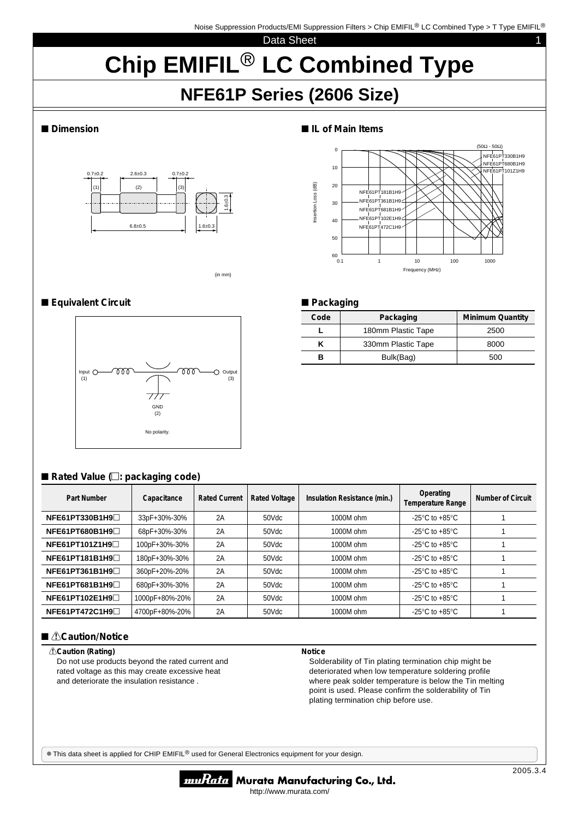ا |<br>NFE61PT361B1H9: NFE61PT681B1H9 NFE61PT102E1H9 NFE61PT472C1H9

NFE61PT181B1H9

Data Sheet 1

# **Chip EMIFIL<sup>®</sup> LC Combined Type**

Insertion Loss (dB)

nsertion Loss (dB)

 $60_{0.1}^{L}$ 

0.1 1 10 100 1000 Frequency (MHz)

**Code** Packaging Minimum Quantity L | 180mm Plastic Tape | 2500  $K$  330mm Plastic Tape  $8000$ **B** Bulk(Bag) 500

NFE61PT330B1H9 NFE61PT680B1H9 NFE61PT101Z1H9

(50Ω - 50Ω)

# **NFE61P Series (2606 Size)**

#### ■ Dimension ■ **IL of Main Items**



(in mm)

### ■**Equivalent Circuit** ■ Packaging



## ■ Rated Value (□: packaging code)

| Part Number    | Capacitance    | <b>Rated Current</b> | <b>Rated Voltage</b> | Insulation Resistance (min.) | Operating<br><b>Temperature Range</b>                | Number of Circuit |
|----------------|----------------|----------------------|----------------------|------------------------------|------------------------------------------------------|-------------------|
| NFE61PT330B1H9 | 33pF+30%-30%   | 2A                   | 50Vdc                | 1000M ohm                    | -25 $\mathrm{^{\circ}C}$ to +85 $\mathrm{^{\circ}C}$ |                   |
| NFE61PT680B1H9 | 68pF+30%-30%   | 2A                   | 50Vdc                | 1000M ohm                    | -25 $\mathrm{^{\circ}C}$ to +85 $\mathrm{^{\circ}C}$ |                   |
| NFE61PT101Z1H9 | 100pF+30%-30%  | 2A                   | 50Vdc                | 1000M ohm                    | -25 $\mathrm{^{\circ}C}$ to +85 $\mathrm{^{\circ}C}$ |                   |
| NFE61PT181B1H9 | 180pF+30%-30%  | 2A                   | 50Vdc                | 1000M ohm                    | -25 $\mathrm{^{\circ}C}$ to +85 $\mathrm{^{\circ}C}$ |                   |
| NFE61PT361B1H9 | 360pF+20%-20%  | 2A                   | 50Vdc                | 1000M ohm                    | -25 $\mathrm{^{\circ}C}$ to +85 $\mathrm{^{\circ}C}$ |                   |
| NFE61PT681B1H9 | 680pF+30%-30%  | 2A                   | 50Vdc                | 1000M ohm                    | -25 $\mathrm{^{\circ}C}$ to +85 $\mathrm{^{\circ}C}$ |                   |
| NFE61PT102E1H9 | 1000pF+80%-20% | 2A                   | 50Vdc                | 1000M ohm                    | -25 $\mathrm{^{\circ}C}$ to +85 $\mathrm{^{\circ}C}$ |                   |
| NFE61PT472C1H9 | 4700pF+80%-20% | 2A                   | 50Vdc                | 1000M ohm                    | -25 $\mathrm{^{\circ}C}$ to +85 $\mathrm{^{\circ}C}$ |                   |

#### ■ *<u>A</u>***Caution/Notice**

#### !**Caution (Rating)**

Do not use products beyond the rated current and rated voltage as this may create excessive heat and deteriorate the insulation resistance .

#### **Notice**

Solderability of Tin plating termination chip might be deteriorated when low temperature soldering profile where peak solder temperature is below the Tin melting point is used. Please confirm the solderability of Tin plating termination chip before use.

 $\bullet$  This data sheet is applied for CHIP EMIFIL<sup>®</sup> used for General Electronics equipment for your design.



#### muRata Murata Manufacturing Co., Ltd. http://www.murata.com/